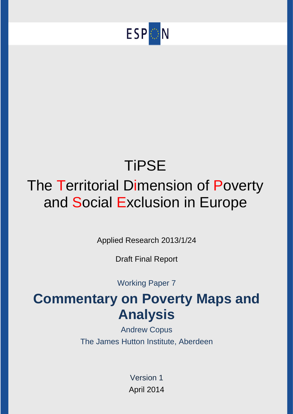

# **TiPSE** The Territorial Dimension of Poverty and Social Exclusion in Europe

Applied Research 2013/1/24

Draft Final Report

Working Paper 7

# **Commentary on Poverty Maps and Analysis**

Andrew Copus The James Hutton Institute, Aberdeen

> Version 1 April 2014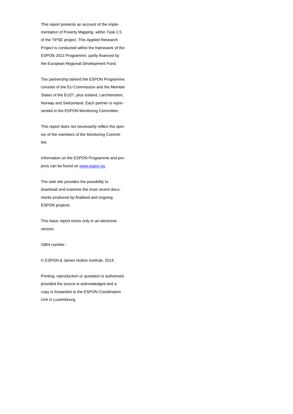This report presents an account of the implementation of Poverty Mapping, within Task 2.5 of the TiPSE project. This Applied Research Project is conducted within the framework of the ESPON 2013 Programme, partly financed by the European Regional Development Fund.

The partnership behind the ESPON Programme consists of the EU Commission and the Member States of the EU27, plus Iceland, Liechtenstein, Norway and Switzerland. Each partner is represented in the ESPON Monitoring Committee.

This report does not necessarily reflect the opinion of the members of the Monitoring Committee.

Information on the ESPON Programme and projects can be found o[n www.espon.eu](http://www.espon.eu/)

The web site provides the possibility to download and examine the most recent documents produced by finalised and ongoing ESPON projects.

This basic report exists only in an electronic version.

ISBN number -

© ESPON & James Hutton Institute, 2014.

Printing, reproduction or quotation is authorised provided the source is acknowledged and a copy is forwarded to the ESPON Coordination Unit in Luxembourg.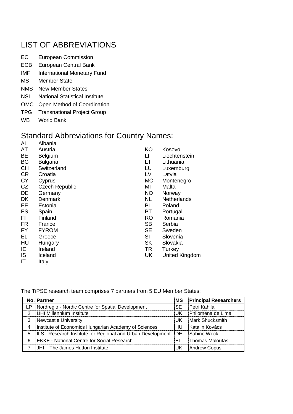## LIST OF ABBREVIATIONS

- EC European Commission
- ECB European Central Bank
- IMF International Monetary Fund
- MS Member State
- NMS New Member States
- NSI National Statistical Institute
- OMC Open Method of Coordination
- TPG Transnational Project Group
- WB World Bank

## Standard Abbreviations for Country Names:

| AL        | Albania               |           |                    |
|-----------|-----------------------|-----------|--------------------|
| AT        | Austria               | KO        | Kosovo             |
| BE        | <b>Belgium</b>        | LI        | Liechtenstein      |
| <b>BG</b> | <b>Bulgaria</b>       | LТ        | Lithuania          |
| <b>CH</b> | Switzerland           | LU        | Luxemburg          |
| <b>CR</b> | Croatia               | LV        | Latvia             |
| <b>CY</b> | Cyprus                | <b>MO</b> | Montenegro         |
| <b>CZ</b> | <b>Czech Republic</b> | МT        | Malta              |
| DE        | Germany               | <b>NO</b> | Norway             |
| <b>DK</b> | Denmark               | <b>NL</b> | <b>Netherlands</b> |
| EE        | Estonia               | PL        | Poland             |
| ES        | Spain                 | PT        | Portugal           |
| FI        | Finland               | <b>RO</b> | Romania            |
| <b>FR</b> | France                | <b>SB</b> | Serbia             |
| FY        | <b>FYROM</b>          | <b>SE</b> | Sweden             |
| EL        | Greece                | SI        | Slovenia           |
| HU        | Hungary               | <b>SK</b> | Slovakia           |
| IE        | Ireland               | <b>TR</b> | Turkey             |
| IS        | Iceland               | UK        | United Kingdom     |
|           |                       |           |                    |

IT Italy

The TiPSE research team comprises 7 partners from 5 EU Member States:

|               | No. Partner                                                    | MS        | <b>Principal Researchers</b> |
|---------------|----------------------------------------------------------------|-----------|------------------------------|
| LР            | Nordregio - Nordic Centre for Spatial Development              | <b>SE</b> | Petri Kahila                 |
| $\mathcal{P}$ | UHI Millennium Institute                                       | lUK.      | Philomena de Lima            |
| 3             | Newcastle University                                           | IUK.      | Mark Shucksmith              |
| 4             | Institute of Economics Hungarian Academy of Sciences           | HU.       | Katalin Kovács               |
| 5             | ILS - Research Institute for Regional and Urban Development DE |           | Sabine Weck                  |
| 6             | <b>EKKE - National Centre for Social Research</b>              | EL.       | Thomas Maloutas              |
|               | UHI - The James Hutton Institute                               | UK.       | Andrew Copus                 |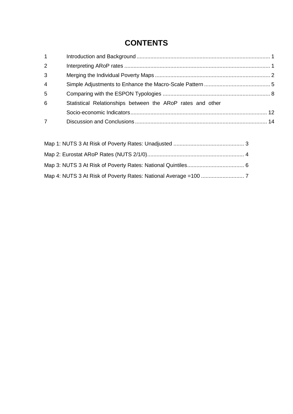## **CONTENTS**

| $1 \quad$      |                                                            |  |
|----------------|------------------------------------------------------------|--|
| $\overline{2}$ |                                                            |  |
| 3              |                                                            |  |
| $\overline{4}$ |                                                            |  |
| 5              |                                                            |  |
| 6              | Statistical Relationships between the ARoP rates and other |  |
|                |                                                            |  |
| $\overline{7}$ |                                                            |  |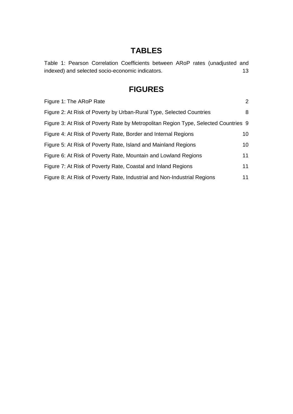## **TABLES**

[Table 1: Pearson Correlation Coefficients between ARoP rates \(unadjusted and](#page-18-0)  [indexed\) and selected socio-economic indicators.](#page-18-0) 13

## **FIGURES**

| Figure 1: The ARoP Rate                                                             | $\overline{2}$ |
|-------------------------------------------------------------------------------------|----------------|
| Figure 2: At Risk of Poverty by Urban-Rural Type, Selected Countries                | 8              |
| Figure 3: At Risk of Poverty Rate by Metropolitan Region Type, Selected Countries 9 |                |
| Figure 4: At Risk of Poverty Rate, Border and Internal Regions                      | 10             |
| Figure 5: At Risk of Poverty Rate, Island and Mainland Regions                      | 10             |
| Figure 6: At Risk of Poverty Rate, Mountain and Lowland Regions                     | 11             |
| Figure 7: At Risk of Poverty Rate, Coastal and Inland Regions                       | 11             |
| Figure 8: At Risk of Poverty Rate, Industrial and Non-Industrial Regions            | 11             |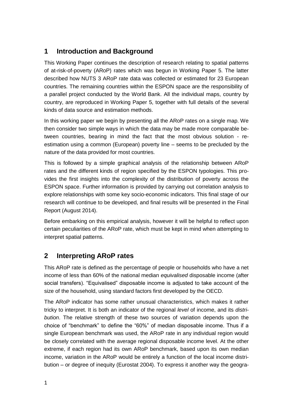#### <span id="page-6-0"></span>**1 Introduction and Background**

This Working Paper continues the description of research relating to spatial patterns of at-risk-of-poverty (ARoP) rates which was begun in Working Paper 5. The latter described how NUTS 3 ARoP rate data was collected or estimated for 23 European countries. The remaining countries within the ESPON space are the responsibility of a parallel project conducted by the World Bank. All the individual maps, country by country, are reproduced in Working Paper 5, together with full details of the several kinds of data source and estimation methods.

In this working paper we begin by presenting all the ARoP rates on a single map. We then consider two simple ways in which the data may be made more comparable between countries, bearing in mind the fact that the most obvious solution - reestimation using a common (European) poverty line – seems to be precluded by the nature of the data provided for most countries.

This is followed by a simple graphical analysis of the relationship between ARoP rates and the different kinds of region specified by the ESPON typologies. This provides the first insights into the complexity of the distribution of poverty across the ESPON space. Further information is provided by carrying out correlation analysis to explore relationships with some key socio-economic indicators. This final stage of our research will continue to be developed, and final results will be presented in the Final Report (August 2014).

Before embarking on this empirical analysis, however it will be helpful to reflect upon certain peculiarities of the ARoP rate, which must be kept in mind when attempting to interpret spatial patterns.

#### <span id="page-6-1"></span>**2 Interpreting ARoP rates**

This ARoP rate is defined as the percentage of people or households who have a net income of less than 60% of the national median *equivalised* disposable income (after social transfers). "Equivalised" disposable income is adjusted to take account of the size of the household, using standard factors first developed by the OECD.

The ARoP indicator has some rather unusual characteristics, which makes it rather tricky to interpret. It is both an indicator of the regional *level* of income, and its *distribution*. The relative strength of these two sources of variation depends upon the choice of "benchmark" to define the "60%" of median disposable income. Thus if a single European benchmark was used, the ARoP rate in any individual region would be closely correlated with the average regional disposable income level. At the other extreme, if each region had its own ARoP benchmark, based upon its own median income, variation in the ARoP would be entirely a function of the local income distribution – or degree of inequity (Eurostat 2004). To express it another way the geogra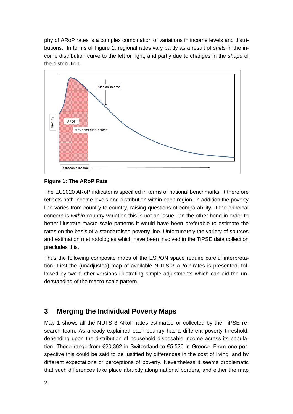phy of ARoP rates is a complex combination of variations in income levels and distributions. In terms of Figure 1, regional rates vary partly as a result of *shifts* in the income distribution curve to the left or right, and partly due to changes in the *shape* of the distribution.



#### <span id="page-7-1"></span>**Figure 1: The ARoP Rate**

The EU2020 ARoP indicator is specified in terms of national benchmarks. It therefore reflects both income levels and distribution within each region. In addition the poverty line varies from country to country, raising questions of comparability. If the principal concern is *within-*country variation this is not an issue. On the other hand in order to better illustrate macro-scale patterns it would have been preferable to estimate the rates on the basis of a standardised poverty line. Unfortunately the variety of sources and estimation methodologies which have been involved in the TiPSE data collection precludes this.

Thus the following composite maps of the ESPON space require careful interpretation. First the (unadjusted) map of available NUTS 3 ARoP rates is presented, followed by two further versions illustrating simple adjustments which can aid the understanding of the macro-scale pattern.

#### <span id="page-7-0"></span>**3 Merging the Individual Poverty Maps**

Map 1 shows all the NUTS 3 ARoP rates estimated or collected by the TiPSE research team. As already explained each country has a different poverty threshold, depending upon the distribution of household disposable income across its population. These range from €20,362 in Switzerland to €5,520 in Greece. From one perspective this could be said to be justified by differences in the cost of living, and by different expectations or perceptions of poverty. Nevertheless it seems problematic that such differences take place abruptly along national borders, and either the map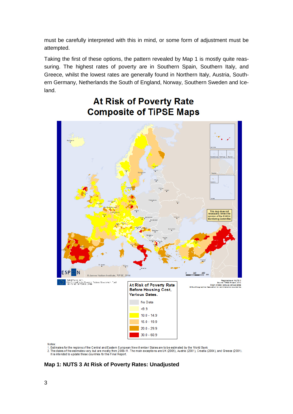must be carefully interpreted with this in mind, or some form of adjustment must be attempted.

Taking the first of these options, the pattern revealed by Map 1 is mostly quite reassuring. The highest rates of poverty are in Southern Spain, Southern Italy, and Greece, whilst the lowest rates are generally found in Northern Italy, Austria, Southern Germany, Netherlands the South of England, Norway, Southern Sweden and Iceland.



## **At Risk of Poverty Rate Composite of TiPSE Maps**

Notes:

1. Estimates for the regions of the Central and Eastem European New Member States are to be estimated by the World Bank<br>2. The dates of the estimates vary, but are mostly from 2009-11. The main exceptions are UK (2005), Au It is intended to update these countries for the Final Report

<span id="page-8-0"></span>**Map 1: NUTS 3 At Risk of Poverty Rates: Unadjusted**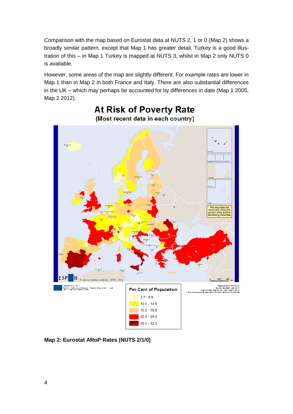Comparison with the map based on Eurostat data at NUTS 2, 1 or 0 (Map 2) shows a broadly similar pattern, except that Map 1 has greater detail. Turkey is a good illustration of this – in Map 1 Turkey is mapped at NUTS 3, whilst in Map 2 only NUTS 0 is available.

However, some areas of the map are slightly different. For example rates are lower in Map 1 than in Map 2 in both France and Italy. There are also substantial differences in the UK – which may perhaps be accounted for by differences in date (Map 1 2005, Map 2 2012).



### **At Risk of Poverty Rate** (Most recent data in each country)

<span id="page-9-0"></span>**Map 2: Eurostat ARoP Rates (NUTS 2/1/0)**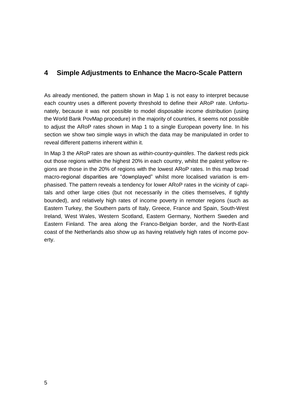#### <span id="page-10-0"></span>**4 Simple Adjustments to Enhance the Macro-Scale Pattern**

As already mentioned, the pattern shown in Map 1 is not easy to interpret because each country uses a different poverty threshold to define their ARoP rate. Unfortunately, because it was not possible to model disposable income distribution (using the World Bank PovMap procedure) in the majority of countries, it seems not possible to adjust the ARoP rates shown in Map 1 to a single European poverty line. In his section we show two simple ways in which the data may be manipulated in order to reveal different patterns inherent within it.

In Map 3 the ARoP rates are shown as *within-country-quintiles*. The darkest reds pick out those regions within the highest 20% in each country, whilst the palest yellow regions are those in the 20% of regions with the lowest ARoP rates. In this map broad macro-regional disparities are "downplayed" whilst more localised variation is emphasised. The pattern reveals a tendency for lower ARoP rates in the vicinity of capitals and other large cities (but not necessarily in the cities themselves, if tightly bounded), and relatively high rates of income poverty in remoter regions (such as Eastern Turkey, the Southern parts of Italy, Greece, France and Spain, South-West Ireland, West Wales, Western Scotland, Eastern Germany, Northern Sweden and Eastern Finland. The area along the Franco-Belgian border, and the North-East coast of the Netherlands also show up as having relatively high rates of income poverty.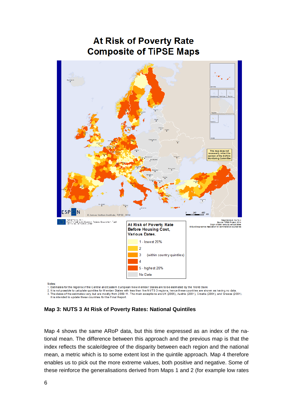## **At Risk of Poverty Rate Composite of TiPSE Maps**



2. It is not possible to calculate quintiles for M ember States with less than five NUTS 3 regions, hence these countries are shown as having no data 3. The dates of the estimates vary, but are mostly from 2009-11. The main exceptions are UK (2005), Austria (2001), Croatia (2004), and Greece (2001). It is intended to update these countries for the Final Report

<span id="page-11-0"></span>**Map 3: NUTS 3 At Risk of Poverty Rates: National Quintiles**

Map 4 shows the same ARoP data, but this time expressed as an index of the national mean. The difference between this approach and the previous map is that the index reflects the scale/degree of the disparity between each region and the national mean, a metric which is to some extent lost in the quintile approach. Map 4 therefore enables us to pick out the more extreme values, both positive and negative. Some of these reinforce the generalisations derived from Maps 1 and 2 (for example low rates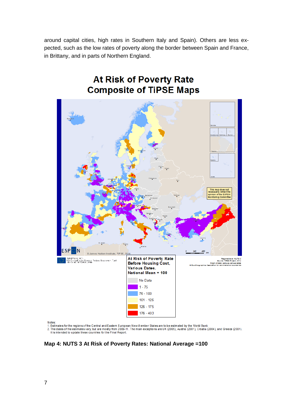around capital cities, high rates in Southern Italy and Spain). Others are less expected, such as the low rates of poverty along the border between Spain and France, in Brittany, and in parts of Northern England.

**At Risk of Poverty Rate** 



Notes:

wues.<br>1. Estimates for the regions of the Central and Eastem European New Member States are to be estimated by the World Bank<br>2. The dates of the estimates vary, but are mostly from 2009-11. The main exceptions are UK (200

<span id="page-12-0"></span>**Map 4: NUTS 3 At Risk of Poverty Rates: National Average =100**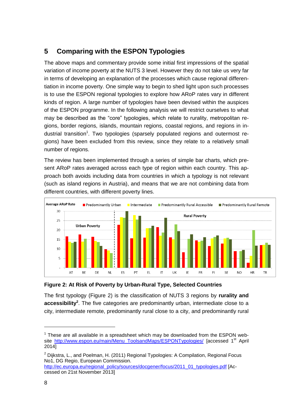## <span id="page-13-0"></span>**5 Comparing with the ESPON Typologies**

The above maps and commentary provide some initial first impressions of the spatial variation of income poverty at the NUTS 3 level. However they do not take us very far in terms of developing an explanation of the processes which cause regional differentiation in income poverty. One simple way to begin to shed light upon such processes is to use the ESPON regional typologies to explore how ARoP rates vary in different kinds of region. A large number of typologies have been devised within the auspices of the ESPON programme. In the following analysis we will restrict ourselves to what may be described as the "core" typologies, which relate to rurality, metropolitan regions, border regions, islands, mountain regions, coastal regions, and regions in industrial transition<sup>1</sup>. Two typologies (sparsely populated regions and outermost regions) have been excluded from this review, since they relate to a relatively small number of regions.

The review has been implemented through a series of simple bar charts, which present ARoP rates averaged across each type of region within each country. This approach both avoids including data from countries in which a typology is not relevant (such as island regions in Austria), and means that we are not combining data from different countries, with different poverty lines.



<span id="page-13-1"></span>

The first typology (Figure 2) is the classification of NUTS 3 regions by **rurality and accessibility<sup>2</sup>** . The five categories are predominantly urban, intermediate close to a city, intermediate remote, predominantly rural close to a city, and predominantly rural

 $1$  These are all available in a spreadsheet which may be downloaded from the ESPON website [http://www.espon.eu/main/Menu\\_ToolsandMaps/ESPONTypologies/](http://www.espon.eu/main/Menu_ToolsandMaps/ESPONTypologies/) [accessed 1<sup>st</sup> April 2014]

 $2$  Dijkstra, L., and Poelman, H. (2011) Regional Typologies: A Compilation, Regional Focus No1, DG Regio, European Commission.

[http://ec.europa.eu/regional\\_policy/sources/docgener/focus/2011\\_01\\_typologies.pdf](http://ec.europa.eu/regional_policy/sources/docgener/focus/2011_01_typologies.pdf) [Accessed on 21st November 2013]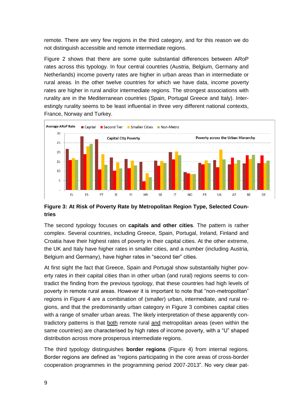remote. There are very few regions in the third category, and for this reason we do not distinguish accessible and remote intermediate regions.

Figure 2 shows that there are some quite substantial differences between ARoP rates across this typology. In four central countries (Austria, Belgium, Germany and Netherlands) income poverty rates are higher in urban areas than in intermediate or rural areas. In the other twelve countries for which we have data, income poverty rates are higher in rural and/or intermediate regions. The strongest associations with rurality are in the Mediterranean countries (Spain, Portugal Greece and Italy). Interestingly rurality seems to be least influential in three very different national contexts, France, Norway and Turkey.



#### <span id="page-14-0"></span>**Figure 3: At Risk of Poverty Rate by Metropolitan Region Type, Selected Countries**

The second typology focuses on **capitals and other cities**. The pattern is rather complex. Several countries, including Greece, Spain, Portugal, Ireland, Finland and Croatia have their highest rates of poverty in their capital cities. At the other extreme, the UK and Italy have higher rates in smaller cities, and a number (including Austria, Belgium and Germany), have higher rates in "second tier" cities.

At first sight the fact that Greece, Spain and Portugal show substantially higher poverty rates in their capital cities than in other urban (and rural) regions seems to contradict the finding from the previous typology, that these countries had high levels of poverty in remote rural areas. However it is important to note that "non-metropolitan" regions in Figure 4 are a combination of (smaller) urban, intermediate, and rural regions, and that the predominantly urban category in Figure 3 combines capital cities with a range of smaller urban areas. The likely interpretation of these apparently contradictory patterns is that both remote rural and metropolitan areas (even within the same countries) are characterised by high rates of income poverty, with a "U" shaped distribution across more prosperous intermediate regions.

The third typology distinguishes **border regions** (Figure 4) from internal regions. Border regions are defined as "regions participating in the core areas of cross-border cooperation programmes in the programming period 2007-2013". No very clear pat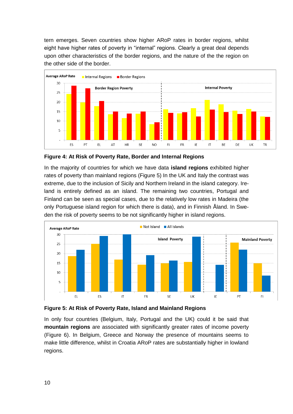tern emerges. Seven countries show higher ARoP rates in border regions, whilst eight have higher rates of poverty in "internal" regions. Clearly a great deal depends upon other characteristics of the border regions, and the nature of the the region on the other side of the border.



<span id="page-15-0"></span>**Figure 4: At Risk of Poverty Rate, Border and Internal Regions**

In the majority of countries for which we have data **island regions** exhibited higher rates of poverty than mainland regions (Figure 5) In the UK and Italy the contrast was extreme, due to the inclusion of Sicily and Northern Ireland in the island category. Ireland is entirely defined as an island. The remaining two countries, Portugal and Finland can be seen as special cases, due to the relatively low rates in Madeira (the only Portuguese island region for which there is data), and in Finnish Åland. In Sweden the risk of poverty seems to be not significantly higher in island regions.



<span id="page-15-1"></span>**Figure 5: At Risk of Poverty Rate, Island and Mainland Regions**

In only four countries (Belgium, Italy, Portugal and the UK) could it be said that **mountain regions** are associated with significantly greater rates of income poverty (Figure 6). In Belgium, Greece and Norway the presence of mountains seems to make little difference, whilst in Croatia ARoP rates are substantially higher in lowland regions.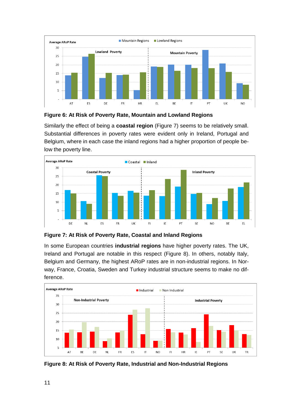

<span id="page-16-0"></span>

Similarly the effect of being a **coastal region** (Figure 7) seems to be relatively small. Substantial differences in poverty rates were evident only in Ireland, Portugal and Belgium, where in each case the inland regions had a higher proportion of people below the poverty line.



<span id="page-16-1"></span>**Figure 7: At Risk of Poverty Rate, Coastal and Inland Regions**

In some European countries **industrial regions** have higher poverty rates. The UK, Ireland and Portugal are notable in this respect (Figure 8). In others, notably Italy, Belgium and Germany, the highest ARoP rates are in non-industrial regions. In Norway, France, Croatia, Sweden and Turkey industrial structure seems to make no difference.



<span id="page-16-2"></span>**Figure 8: At Risk of Poverty Rate, Industrial and Non-Industrial Regions**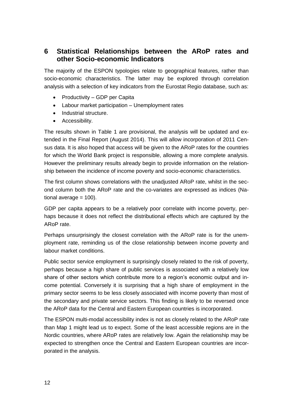#### <span id="page-17-0"></span>**6 Statistical Relationships between the ARoP rates and other Socio-economic Indicators**

The majority of the ESPON typologies relate to geographical features, rather than socio-economic characteristics. The latter may be explored through correlation analysis with a selection of key indicators from the Eurostat Regio database, such as:

- Productivity GDP per Capita
- Labour market participation Unemployment rates
- Industrial structure.
- Accessibility.

The results shown in Table 1 are provisional, the analysis will be updated and extended in the Final Report (August 2014). This will allow incorporation of 2011 Census data. It is also hoped that access will be given to the ARoP rates for the countries for which the World Bank project is responsible, allowing a more complete analysis. However the preliminary results already begin to provide information on the relationship between the incidence of income poverty and socio-economic characteristics.

The first column shows correlations with the unadjusted ARoP rate, whilst in the second column both the ARoP rate and the co-variates are expressed as indices (National average  $= 100$ ).

GDP per capita appears to be a relatively poor correlate with income poverty, perhaps because it does not reflect the distributional effects which are captured by the ARoP rate.

Perhaps unsurprisingly the closest correlation with the ARoP rate is for the unemployment rate, reminding us of the close relationship between income poverty and labour market conditions.

Public sector service employment is surprisingly closely related to the risk of poverty, perhaps because a high share of public services is associated with a relatively low share of other sectors which contribute more to a region's economic output and income potential. Conversely it is surprising that a high share of employment in the primary sector seems to be less closely associated with income poverty than most of the secondary and private service sectors. This finding is likely to be reversed once the ARoP data for the Central and Eastern European countries is incorporated.

The ESPON multi-modal accessibility index is not as closely related to the ARoP rate than Map 1 might lead us to expect. Some of the least accessible regions are in the Nordic countries, where ARoP rates are relatively low. Again the relationship may be expected to strengthen once the Central and Eastern European countries are incorporated in the analysis.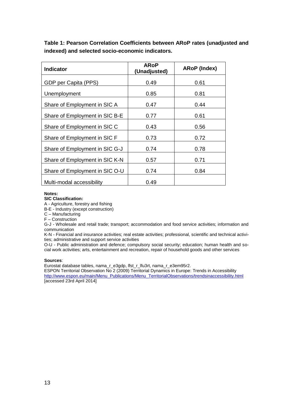<span id="page-18-0"></span>**Table 1: Pearson Correlation Coefficients between ARoP rates (unadjusted and indexed) and selected socio-economic indicators.**

| <b>Indicator</b>               | <b>ARoP</b><br>(Unadjusted) | <b>ARoP</b> (Index) |
|--------------------------------|-----------------------------|---------------------|
| GDP per Capita (PPS)           | 0.49                        | 0.61                |
| Unemployment                   | 0.85                        | 0.81                |
| Share of Employment in SIC A   | 0.47                        | 0.44                |
| Share of Employment in SIC B-E | 0.77                        | 0.61                |
| Share of Employment in SIC C   | 0.43                        | 0.56                |
| Share of Employment in SIC F   | 0.73                        | 0.72                |
| Share of Employment in SIC G-J | 0.74                        | 0.78                |
| Share of Employment in SIC K-N | 0.57                        | 0.71                |
| Share of Employment in SIC O-U | 0.74                        | 0.84                |
| Multi-modal accessibility      | 0.49                        |                     |

#### **Notes:**

**SIC Classification:**

A - Agriculture, forestry and fishing

B-E - Industry (except construction)

C – Manufacturing

F – Construction

G-J - Wholesale and retail trade; transport; accommodation and food service activities; information and communication

K-N - Financial and insurance activities; real estate activities; professional, scientific and technical activities; administrative and support service activities

O-U - Public administration and defence; compulsory social security; education; human health and social work activities; arts, entertainment and recreation, repair of household goods and other services

#### **Sources**:

Eurostat database tables, nama\_r\_e3gdp, lfst\_r\_lfu3rt, nama\_r\_e3em95r2.

ESPON Territorial Observation No 2 (2009) Territorial Dynamics in Europe: Trends in Accessibility [http://www.espon.eu/main/Menu\\_Publications/Menu\\_TerritorialObservations/trendsinaccessibility.html](http://www.espon.eu/main/Menu_Publications/Menu_TerritorialObservations/trendsinaccessibility.html) [accessed 23rd April 2014]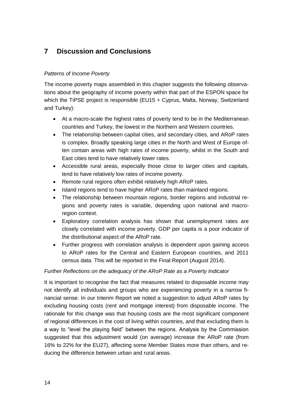### <span id="page-19-0"></span>**7 Discussion and Conclusions**

#### *Patterns of Income Poverty*

The income poverty maps assembled in this chapter suggests the following observations about the geography of income poverty within that part of the ESPON space for which the TiPSE project is responsible (EU15 + Cyprus, Malta, Norway, Switzerland and Turkey):

- At a macro-scale the highest rates of poverty tend to be in the Mediterranean countries and Turkey, the lowest in the Northern and Western countries.
- The relationship between capital cities, and secondary cities, and ARoP rates is complex. Broadly speaking large cities in the North and West of Europe often contain areas with high rates of income poverty, whilst in the South and East cities tend to have relatively lower rates.
- Accessible rural areas, especially those close to larger cities and capitals, tend to have relatively low rates of income poverty.
- Remote rural regions often exhibit relatively high ARoP rates.
- Island regions tend to have higher ARoP rates than mainland regions.
- The relationship between mountain regions, border regions and industrial regions and poverty rates is variable, depending upon national and macroregion context.
- Exploratory correlation analysis has shown that unemployment rates are closely correlated with income poverty. GDP per capita is a poor indicator of the distributional aspect of the ARoP rate.
- Further progress with correlation analysis is dependent upon gaining access to ARoP rates for the Central and Eastern European countries, and 2011 census data. This will be reported in the Final Report (August 2014).

#### *Further Reflections on the adequacy of the ARoP Rate as a Poverty Indicator*

It is important to recognise the fact that measures related to disposable income may not identify all individuals and groups who are experiencing poverty in a narrow financial sense. In our Interim Report we noted a suggestion to adjust ARoP rates by excluding housing costs (rent and mortgage interest) from disposable income. The rationale for this change was that housing costs are the most significant component of regional differences in the cost of living within countries, and that excluding them is a way to "level the playing field" between the regions. Analysis by the Commission suggested that this adjustment would (on average) increase the ARoP rate (from 16% to 22% for the EU27), affecting some Member States more than others, and reducing the difference between urban and rural areas.